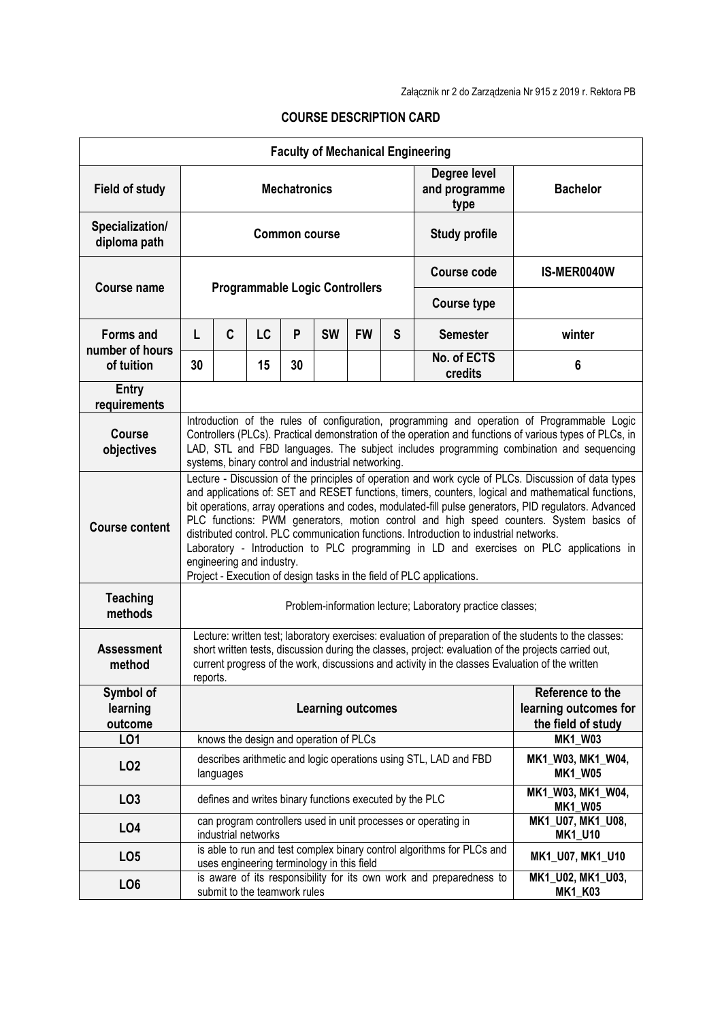| <b>Faculty of Mechanical Engineering</b> |                                                                                                                                                                                                                                                                                                                                                                                                                                                                                                                                                                                                                                                                                                            |           |                                            |    |           |                                                                 |   |                                                                        |                                     |
|------------------------------------------|------------------------------------------------------------------------------------------------------------------------------------------------------------------------------------------------------------------------------------------------------------------------------------------------------------------------------------------------------------------------------------------------------------------------------------------------------------------------------------------------------------------------------------------------------------------------------------------------------------------------------------------------------------------------------------------------------------|-----------|--------------------------------------------|----|-----------|-----------------------------------------------------------------|---|------------------------------------------------------------------------|-------------------------------------|
| <b>Field of study</b>                    | <b>Mechatronics</b>                                                                                                                                                                                                                                                                                                                                                                                                                                                                                                                                                                                                                                                                                        |           |                                            |    |           |                                                                 |   | Degree level<br>and programme<br>type                                  | <b>Bachelor</b>                     |
| Specialization/<br>diploma path          | <b>Common course</b>                                                                                                                                                                                                                                                                                                                                                                                                                                                                                                                                                                                                                                                                                       |           |                                            |    |           |                                                                 |   | <b>Study profile</b>                                                   |                                     |
| <b>Course name</b>                       | <b>Programmable Logic Controllers</b>                                                                                                                                                                                                                                                                                                                                                                                                                                                                                                                                                                                                                                                                      |           |                                            |    |           |                                                                 |   | Course code                                                            | IS-MER0040W                         |
|                                          |                                                                                                                                                                                                                                                                                                                                                                                                                                                                                                                                                                                                                                                                                                            |           |                                            |    |           |                                                                 |   | <b>Course type</b>                                                     |                                     |
| <b>Forms and</b><br>number of hours      | L                                                                                                                                                                                                                                                                                                                                                                                                                                                                                                                                                                                                                                                                                                          | C         | LC                                         | P  | <b>SW</b> | <b>FW</b>                                                       | S | <b>Semester</b>                                                        | winter                              |
| of tuition                               | 30                                                                                                                                                                                                                                                                                                                                                                                                                                                                                                                                                                                                                                                                                                         |           | 15                                         | 30 |           |                                                                 |   | No. of ECTS<br>credits                                                 | 6                                   |
| <b>Entry</b><br>requirements             |                                                                                                                                                                                                                                                                                                                                                                                                                                                                                                                                                                                                                                                                                                            |           |                                            |    |           |                                                                 |   |                                                                        |                                     |
| <b>Course</b><br>objectives              | Introduction of the rules of configuration, programming and operation of Programmable Logic<br>Controllers (PLCs). Practical demonstration of the operation and functions of various types of PLCs, in<br>LAD, STL and FBD languages. The subject includes programming combination and sequencing<br>systems, binary control and industrial networking.                                                                                                                                                                                                                                                                                                                                                    |           |                                            |    |           |                                                                 |   |                                                                        |                                     |
| <b>Course content</b>                    | Lecture - Discussion of the principles of operation and work cycle of PLCs. Discussion of data types<br>and applications of: SET and RESET functions, timers, counters, logical and mathematical functions,<br>bit operations, array operations and codes, modulated-fill pulse generators, PID regulators. Advanced<br>PLC functions: PWM generators, motion control and high speed counters. System basics of<br>distributed control. PLC communication functions. Introduction to industrial networks.<br>Laboratory - Introduction to PLC programming in LD and exercises on PLC applications in<br>engineering and industry.<br>Project - Execution of design tasks in the field of PLC applications. |           |                                            |    |           |                                                                 |   |                                                                        |                                     |
| <b>Teaching</b><br>methods               | Problem-information lecture; Laboratory practice classes;                                                                                                                                                                                                                                                                                                                                                                                                                                                                                                                                                                                                                                                  |           |                                            |    |           |                                                                 |   |                                                                        |                                     |
| <b>Assessment</b><br>method              | Lecture: written test; laboratory exercises: evaluation of preparation of the students to the classes:<br>short written tests, discussion during the classes, project: evaluation of the projects carried out,<br>current progress of the work, discussions and activity in the classes Evaluation of the written<br>reports.                                                                                                                                                                                                                                                                                                                                                                              |           |                                            |    |           |                                                                 |   |                                                                        |                                     |
| Symbol of<br>learning<br>outcome         | <b>Learning outcomes</b>                                                                                                                                                                                                                                                                                                                                                                                                                                                                                                                                                                                                                                                                                   |           |                                            |    |           | Reference to the<br>learning outcomes for<br>the field of study |   |                                                                        |                                     |
| LO1                                      |                                                                                                                                                                                                                                                                                                                                                                                                                                                                                                                                                                                                                                                                                                            |           | knows the design and operation of PLCs     |    |           |                                                                 |   |                                                                        | <b>MK1_W03</b>                      |
| LO <sub>2</sub>                          |                                                                                                                                                                                                                                                                                                                                                                                                                                                                                                                                                                                                                                                                                                            | languages |                                            |    |           |                                                                 |   | describes arithmetic and logic operations using STL, LAD and FBD       | MK1_W03, MK1_W04,<br><b>MK1_W05</b> |
| LO <sub>3</sub>                          |                                                                                                                                                                                                                                                                                                                                                                                                                                                                                                                                                                                                                                                                                                            |           |                                            |    |           | defines and writes binary functions executed by the PLC         |   |                                                                        | MK1 W03, MK1 W04,<br><b>MK1_W05</b> |
| LO <sub>4</sub>                          | can program controllers used in unit processes or operating in<br>industrial networks                                                                                                                                                                                                                                                                                                                                                                                                                                                                                                                                                                                                                      |           |                                            |    |           |                                                                 |   | MK1_U07, MK1_U08,<br><b>MK1_U10</b>                                    |                                     |
| LO <sub>5</sub>                          |                                                                                                                                                                                                                                                                                                                                                                                                                                                                                                                                                                                                                                                                                                            |           | uses engineering terminology in this field |    |           |                                                                 |   | is able to run and test complex binary control algorithms for PLCs and | MK1_U07, MK1_U10                    |
| LO <sub>6</sub>                          |                                                                                                                                                                                                                                                                                                                                                                                                                                                                                                                                                                                                                                                                                                            |           | submit to the teamwork rules               |    |           |                                                                 |   | is aware of its responsibility for its own work and preparedness to    | MK1_U02, MK1_U03,<br><b>MK1_K03</b> |

## **COURSE DESCRIPTION CARD**